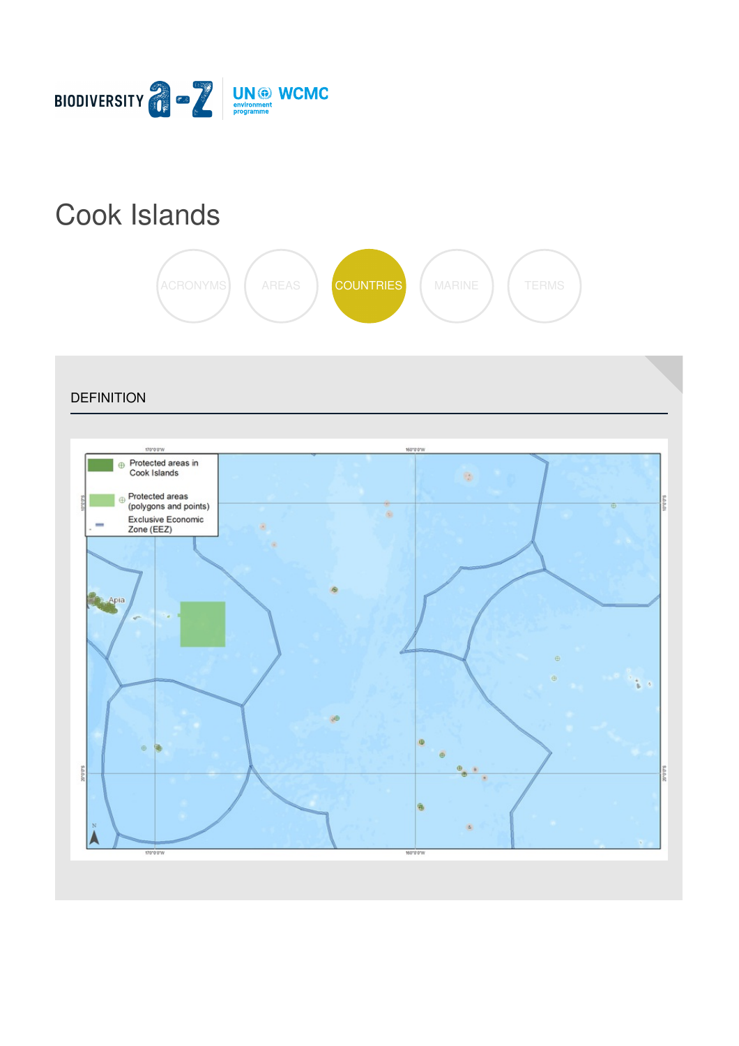

# Cook [Islands](https://biodiversitya-z.org/content/cook-islands)



**DEFINITION** 160'0'0'V  $\oplus$  Protected areas in Cook Islands  $\mathfrak{S}$ Protected areas prores (polygons and points)  $\alpha$ Exclusive Economic<br>Zone (EEZ) Ø.  $\alpha$ **Apia** t i ø  $\oplus$ sanas Λ 170303 160"0"0"W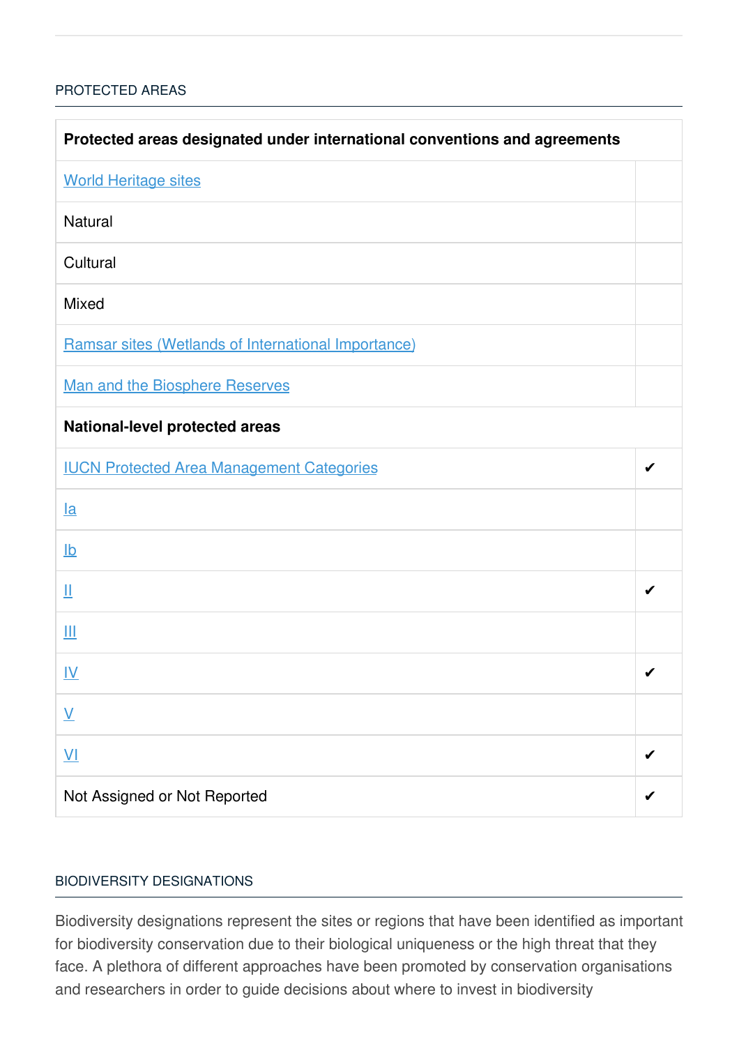# [PROTECTED](javascript:void(0)) AREAS

| Protected areas designated under international conventions and agreements |   |  |
|---------------------------------------------------------------------------|---|--|
| <b>World Heritage sites</b>                                               |   |  |
| Natural                                                                   |   |  |
| Cultural                                                                  |   |  |
| Mixed                                                                     |   |  |
| Ramsar sites (Wetlands of International Importance)                       |   |  |
| <b>Man and the Biosphere Reserves</b>                                     |   |  |
| National-level protected areas                                            |   |  |
| <b>IUCN Protected Area Management Categories</b>                          | ✔ |  |
| $l$ a                                                                     |   |  |
| $\underline{\mathsf{lb}}$                                                 |   |  |
| Щ                                                                         |   |  |
| Ш                                                                         |   |  |
| $\underline{\underline{W}}$                                               | ✔ |  |
| $\underline{\mathsf{V}}$                                                  |   |  |
| $\underline{\mathsf{V}}$                                                  |   |  |
| Not Assigned or Not Reported                                              |   |  |

### BIODIVERSITY [DESIGNATIONS](javascript:void(0))

Biodiversity designations represent the sites or regions that have been identified as important for biodiversity conservation due to their biological uniqueness or the high threat that they face. A plethora of different approaches have been promoted by conservation organisations and researchers in order to guide decisions about where to invest in biodiversity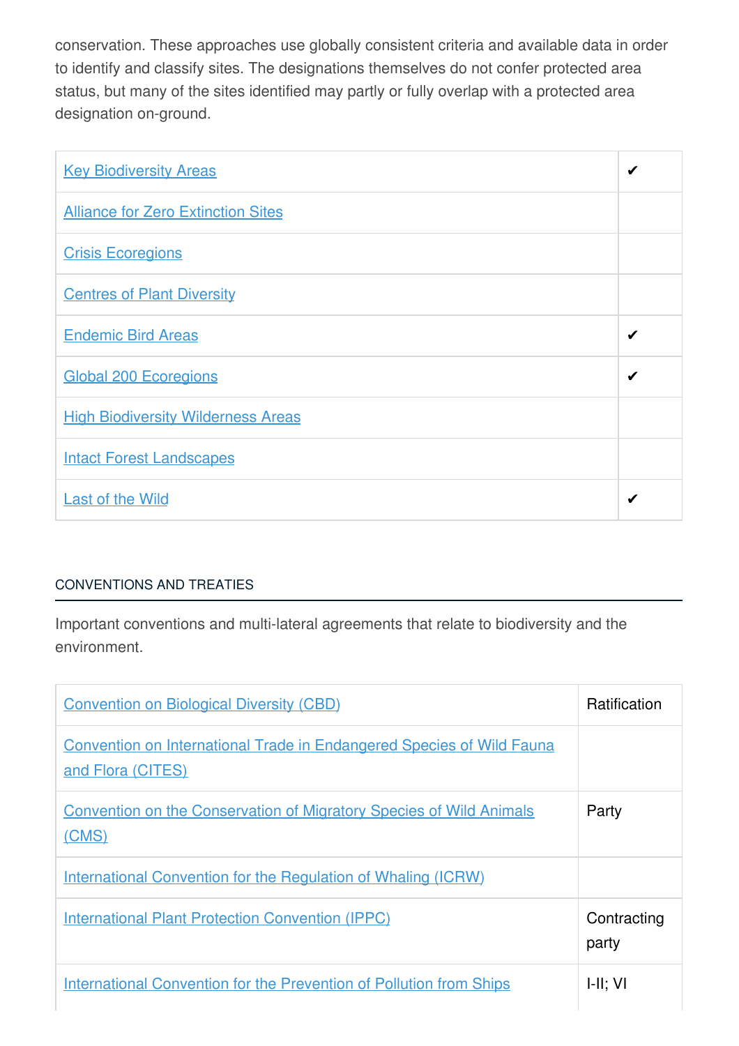conservation. These approaches use globally consistent criteria and available data in order to identify and classify sites. The designations themselves do not confer protected area status, but many of the sites identified may partly or fully overlap with a protected area designation on-ground.

| <b>Key Biodiversity Areas</b>             | ✔ |
|-------------------------------------------|---|
| <b>Alliance for Zero Extinction Sites</b> |   |
| <b>Crisis Ecoregions</b>                  |   |
| <b>Centres of Plant Diversity</b>         |   |
| <b>Endemic Bird Areas</b>                 | ✔ |
| <b>Global 200 Ecoregions</b>              | ✔ |
| <b>High Biodiversity Wilderness Areas</b> |   |
| <b>Intact Forest Landscapes</b>           |   |
| <b>Last of the Wild</b>                   | ✔ |

# [CONVENTIONS](javascript:void(0)) AND TREATIES

Important conventions and multi-lateral agreements that relate to biodiversity and the environment.

| <b>Convention on Biological Diversity (CBD)</b>                                                   | <b>Ratification</b>  |
|---------------------------------------------------------------------------------------------------|----------------------|
| <b>Convention on International Trade in Endangered Species of Wild Fauna</b><br>and Flora (CITES) |                      |
| <b>Convention on the Conservation of Migratory Species of Wild Animals</b><br>(CMS)               | Party                |
| <b>International Convention for the Regulation of Whaling (ICRW)</b>                              |                      |
| <b>International Plant Protection Convention (IPPC)</b>                                           | Contracting<br>party |
| <b>International Convention for the Prevention of Pollution from Ships</b>                        | H: VI                |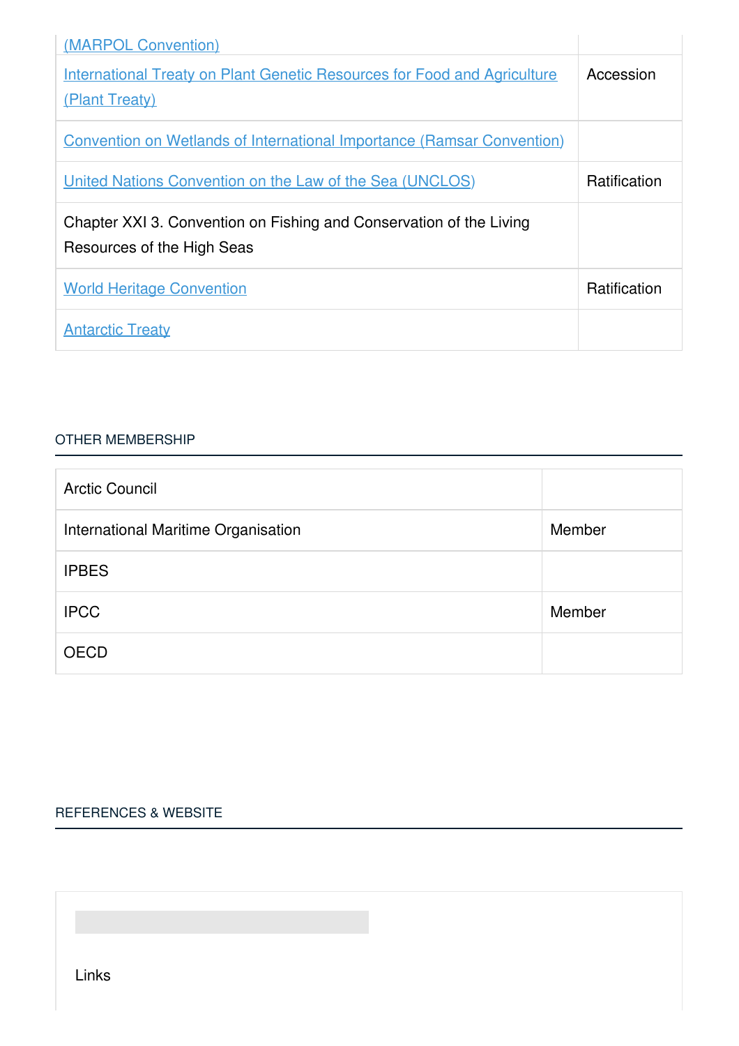| (MARPOL Convention)                                                                               |                     |
|---------------------------------------------------------------------------------------------------|---------------------|
| <b>International Treaty on Plant Genetic Resources for Food and Agriculture</b><br>(Plant Treaty) | Accession           |
| <b>Convention on Wetlands of International Importance (Ramsar Convention)</b>                     |                     |
| United Nations Convention on the Law of the Sea (UNCLOS)                                          | <b>Ratification</b> |
| Chapter XXI 3. Convention on Fishing and Conservation of the Living<br>Resources of the High Seas |                     |
| <b>World Heritage Convention</b>                                                                  | <b>Ratification</b> |
| <b>Antarctic Treaty</b>                                                                           |                     |

#### OTHER [MEMBERSHIP](javascript:void(0))

| <b>Arctic Council</b>               |        |
|-------------------------------------|--------|
| International Maritime Organisation | Member |
| <b>IPBES</b>                        |        |
| <b>IPCC</b>                         | Member |
| <b>OECD</b>                         |        |

# [REFERENCES](javascript:void(0)) & WEBSITE

Links